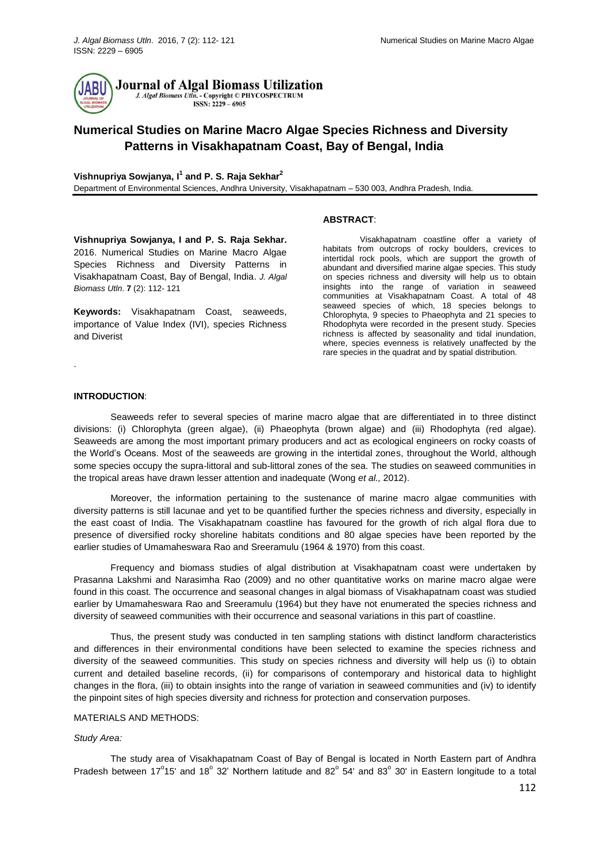

# **Numerical Studies on Marine Macro Algae Species Richness and Diversity Patterns in Visakhapatnam Coast, Bay of Bengal, India**

**Vishnupriya Sowjanya, I 1 and P. S. Raja Sekhar<sup>2</sup>**

Department of Environmental Sciences, Andhra University, Visakhapatnam – 530 003, Andhra Pradesh, India.

#### **ABSTRACT**:

**Vishnupriya Sowjanya, I and P. S. Raja Sekhar.**  2016. Numerical Studies on Marine Macro Algae Species Richness and Diversity Patterns in Visakhapatnam Coast, Bay of Bengal, India. *J. Algal Biomass Utln*. **7** (2): 112- 121

**Keywords:** Visakhapatnam Coast, seaweeds, importance of Value Index (IVI), species Richness and Diverist

Visakhapatnam coastline offer a variety of habitats from outcrops of rocky boulders, crevices to intertidal rock pools, which are support the growth of abundant and diversified marine algae species. This study on species richness and diversity will help us to obtain insights into the range of variation in seaweed communities at Visakhapatnam Coast. A total of 48 seaweed species of which, 18 species belongs to Chlorophyta, 9 species to Phaeophyta and 21 species to Rhodophyta were recorded in the present study. Species richness is affected by seasonality and tidal inundation, where, species evenness is relatively unaffected by the rare species in the quadrat and by spatial distribution.

## **INTRODUCTION**:

.

Seaweeds refer to several species of marine macro algae that are differentiated in to three distinct divisions: (i) Chlorophyta (green algae), (ii) Phaeophyta (brown algae) and (iii) Rhodophyta (red algae). Seaweeds are among the most important primary producers and act as ecological engineers on rocky coasts of the World's Oceans. Most of the seaweeds are growing in the intertidal zones, throughout the World, although some species occupy the supra-littoral and sub-littoral zones of the sea. The studies on seaweed communities in the tropical areas have drawn lesser attention and inadequate (Wong *et al.,* 2012).

Moreover, the information pertaining to the sustenance of marine macro algae communities with diversity patterns is still lacunae and yet to be quantified further the species richness and diversity, especially in the east coast of India. The Visakhapatnam coastline has favoured for the growth of rich algal flora due to presence of diversified rocky shoreline habitats conditions and 80 algae species have been reported by the earlier studies of Umamaheswara Rao and Sreeramulu (1964 & 1970) from this coast.

Frequency and biomass studies of algal distribution at Visakhapatnam coast were undertaken by Prasanna Lakshmi and Narasimha Rao (2009) and no other quantitative works on marine macro algae were found in this coast. The occurrence and seasonal changes in algal biomass of Visakhapatnam coast was studied earlier by Umamaheswara Rao and Sreeramulu (1964) but they have not enumerated the species richness and diversity of seaweed communities with their occurrence and seasonal variations in this part of coastline.

Thus, the present study was conducted in ten sampling stations with distinct landform characteristics and differences in their environmental conditions have been selected to examine the species richness and diversity of the seaweed communities. This study on species richness and diversity will help us (i) to obtain current and detailed baseline records, (ii) for comparisons of contemporary and historical data to highlight changes in the flora, (iii) to obtain insights into the range of variation in seaweed communities and (iv) to identify the pinpoint sites of high species diversity and richness for protection and conservation purposes.

#### MATERIALS AND METHODS:

#### *Study Area:*

The study area of Visakhapatnam Coast of Bay of Bengal is located in North Eastern part of Andhra Pradesh between 17<sup>°</sup>15' and 18<sup>°</sup> 32' Northern latitude and 82<sup>°</sup> 54' and 83<sup>°</sup> 30' in Eastern longitude to a total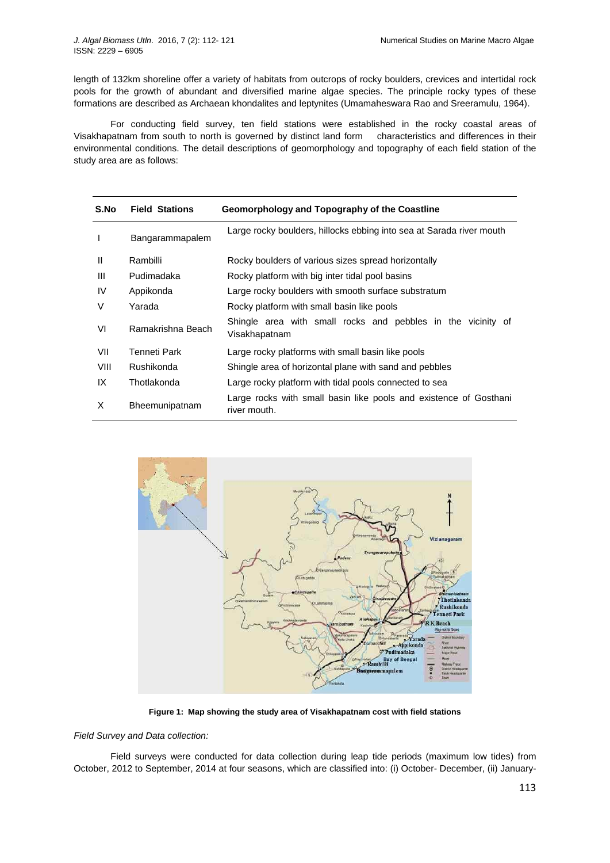length of 132km shoreline offer a variety of habitats from outcrops of rocky boulders, crevices and intertidal rock pools for the growth of abundant and diversified marine algae species. The principle rocky types of these formations are described as Archaean khondalites and leptynites (Umamaheswara Rao and Sreeramulu, 1964).

For conducting field survey, ten field stations were established in the rocky coastal areas of Visakhapatnam from south to north is governed by distinct land form characteristics and differences in their environmental conditions. The detail descriptions of geomorphology and topography of each field station of the study area are as follows:

| S.No         | <b>Field Stations</b> | Geomorphology and Topography of the Coastline                                     |  |  |  |  |  |  |  |  |
|--------------|-----------------------|-----------------------------------------------------------------------------------|--|--|--|--|--|--|--|--|
| ı            | Bangarammapalem       | Large rocky boulders, hillocks ebbing into sea at Sarada river mouth              |  |  |  |  |  |  |  |  |
| $\mathbf{I}$ | Rambilli              | Rocky boulders of various sizes spread horizontally                               |  |  |  |  |  |  |  |  |
| Ш            | Pudimadaka            | Rocky platform with big inter tidal pool basins                                   |  |  |  |  |  |  |  |  |
| IV           | Appikonda             | Large rocky boulders with smooth surface substratum                               |  |  |  |  |  |  |  |  |
| V            | Yarada                | Rocky platform with small basin like pools                                        |  |  |  |  |  |  |  |  |
| VI           | Ramakrishna Beach     | Shingle area with small rocks and pebbles in the vicinity of<br>Visakhapatnam     |  |  |  |  |  |  |  |  |
| VII          | Tenneti Park          | Large rocky platforms with small basin like pools                                 |  |  |  |  |  |  |  |  |
| VIII         | Rushikonda            | Shingle area of horizontal plane with sand and pebbles                            |  |  |  |  |  |  |  |  |
| IX           | Thotlakonda           | Large rocky platform with tidal pools connected to sea                            |  |  |  |  |  |  |  |  |
| X            | Bheemunipatnam        | Large rocks with small basin like pools and existence of Gosthani<br>river mouth. |  |  |  |  |  |  |  |  |



**Figure 1: Map showing the study area of Visakhapatnam cost with field stations**

*Field Survey and Data collection:*

Field surveys were conducted for data collection during leap tide periods (maximum low tides) from October, 2012 to September, 2014 at four seasons, which are classified into: (i) October- December, (ii) January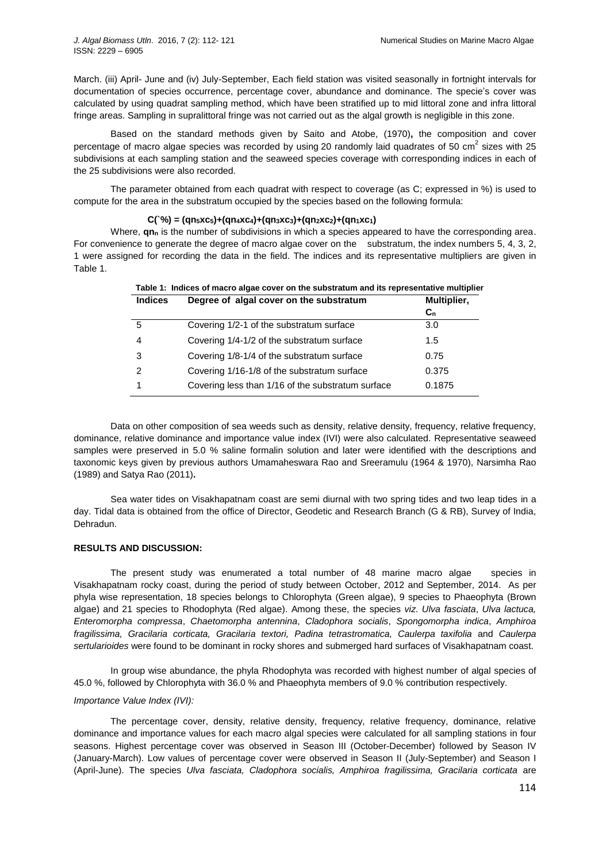March. (iii) April- June and (iv) July-September, Each field station was visited seasonally in fortnight intervals for documentation of species occurrence, percentage cover, abundance and dominance. The specie's cover was calculated by using quadrat sampling method, which have been stratified up to mid littoral zone and infra littoral fringe areas. Sampling in supralittoral fringe was not carried out as the algal growth is negligible in this zone.

Based on the standard methods given by Saito and Atobe, (1970)**,** the composition and cover percentage of macro algae species was recorded by using 20 randomly laid quadrates of 50 cm<sup>2</sup> sizes with 25 subdivisions at each sampling station and the seaweed species coverage with corresponding indices in each of the 25 subdivisions were also recorded.

The parameter obtained from each quadrat with respect to coverage (as C; expressed in %) is used to compute for the area in the substratum occupied by the species based on the following formula:

# $C("%) = (qn_5 \times c_5) + (qn_4 \times c_4) + (qn_3 \times c_3) + (qn_2 \times c_2) + (qn_1 \times c_1)$

Where, **qn**<sub>n</sub> is the number of subdivisions in which a species appeared to have the corresponding area. For convenience to generate the degree of macro algae cover on the substratum, the index numbers 5, 4, 3, 2, 1 were assigned for recording the data in the field. The indices and its representative multipliers are given in Table 1.

| <b>Indices</b> | Degree of algal cover on the substratum           | Multiplier, |
|----------------|---------------------------------------------------|-------------|
|                |                                                   | $C_{n}$     |
| 5              | Covering 1/2-1 of the substratum surface          | 3.0         |
| 4              | Covering 1/4-1/2 of the substratum surface        | 1.5         |
| 3              | Covering 1/8-1/4 of the substratum surface        | 0.75        |
| 2              | Covering 1/16-1/8 of the substratum surface       | 0.375       |
|                | Covering less than 1/16 of the substratum surface | 0.1875      |

Data on other composition of sea weeds such as density, relative density, frequency, relative frequency, dominance, relative dominance and importance value index (IVI) were also calculated. Representative seaweed samples were preserved in 5.0 % saline formalin solution and later were identified with the descriptions and taxonomic keys given by previous authors Umamaheswara Rao and Sreeramulu (1964 & 1970), Narsimha Rao (1989) and Satya Rao (2011)**.**

Sea water tides on Visakhapatnam coast are semi diurnal with two spring tides and two leap tides in a day. Tidal data is obtained from the office of Director, Geodetic and Research Branch (G & RB), Survey of India, Dehradun.

# **RESULTS AND DISCUSSION:**

The present study was enumerated a total number of 48 marine macro algae species in Visakhapatnam rocky coast, during the period of study between October, 2012 and September, 2014. As per phyla wise representation, 18 species belongs to Chlorophyta (Green algae), 9 species to Phaeophyta (Brown algae) and 21 species to Rhodophyta (Red algae). Among these, the species *viz*. *Ulva fasciata*, *Ulva lactuca, Enteromorpha compressa*, *Chaetomorpha antennina*, *Cladophora socialis*, *Spongomorpha indica*, *Amphiroa fragilissima, Gracilaria corticata, Gracilaria textori, Padina tetrastromatica, Caulerpa taxifolia* and *Caulerpa sertularioides* were found to be dominant in rocky shores and submerged hard surfaces of Visakhapatnam coast.

In group wise abundance, the phyla Rhodophyta was recorded with highest number of algal species of 45.0 %, followed by Chlorophyta with 36.0 % and Phaeophyta members of 9.0 % contribution respectively.

# *Importance Value Index (IVI):*

The percentage cover, density, relative density, frequency, relative frequency, dominance, relative dominance and importance values for each macro algal species were calculated for all sampling stations in four seasons. Highest percentage cover was observed in Season III (October-December) followed by Season IV (January-March). Low values of percentage cover were observed in Season II (July-September) and Season I (April-June). The species *Ulva fasciata, Cladophora socialis, Amphiroa fragilissima, Gracilaria corticata* are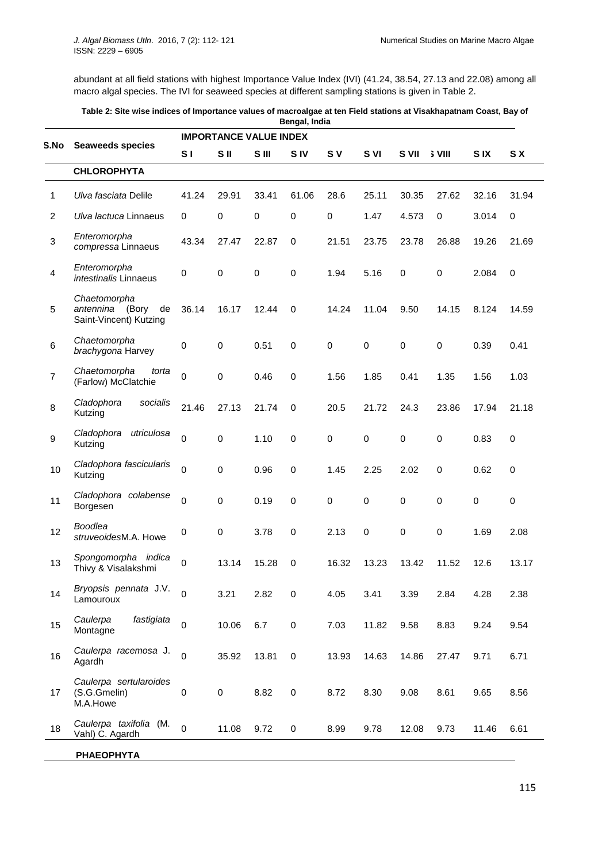abundant at all field stations with highest Importance Value Index (IVI) (41.24, 38.54, 27.13 and 22.08) among all macro algal species. The IVI for seaweed species at different sampling stations is given in Table 2.

| Table 2: Site wise indices of Importance values of macroalgae at ten Field stations at Visakhapatnam Coast, Bay of |
|--------------------------------------------------------------------------------------------------------------------|
| Bengal, India                                                                                                      |

|                         |                                                                    | <b>IMPORTANCE VALUE INDEX</b> |             |           |             |             |             |             |               |            |           |  |
|-------------------------|--------------------------------------------------------------------|-------------------------------|-------------|-----------|-------------|-------------|-------------|-------------|---------------|------------|-----------|--|
| S.No                    | <b>Seaweeds species</b>                                            | S <sub>1</sub>                | S II        | S III     | <b>SIV</b>  | S V         | S VI        | S VII       | <b>S</b> VIII | <b>SIX</b> | S X       |  |
|                         | <b>CHLOROPHYTA</b>                                                 |                               |             |           |             |             |             |             |               |            |           |  |
| 1                       | Ulva fasciata Delile                                               | 41.24                         | 29.91       | 33.41     | 61.06       | 28.6        | 25.11       | 30.35       | 27.62         | 32.16      | 31.94     |  |
| 2                       | Ulva lactuca Linnaeus                                              | 0                             | 0           | 0         | $\mathbf 0$ | $\mathbf 0$ | 1.47        | 4.573       | $\mathbf 0$   | 3.014      | 0         |  |
| $\mathbf{3}$            | Enteromorpha<br>compressa Linnaeus                                 | 43.34                         | 27.47       | 22.87     | 0           | 21.51       | 23.75       | 23.78       | 26.88         | 19.26      | 21.69     |  |
| $\overline{\mathbf{4}}$ | Enteromorpha<br>intestinalis Linnaeus                              | 0                             | 0           | $\pmb{0}$ | $\pmb{0}$   | 1.94        | 5.16        | $\pmb{0}$   | 0             | 2.084      | $\pmb{0}$ |  |
| $\overline{5}$          | Chaetomorpha<br>(Bory<br>de<br>antennina<br>Saint-Vincent) Kutzing | 36.14                         | 16.17       | 12.44     | $\mathbf 0$ | 14.24       | 11.04       | 9.50        | 14.15         | 8.124      | 14.59     |  |
| $\,6$                   | Chaetomorpha<br>brachygona Harvey                                  | 0                             | 0           | 0.51      | $\pmb{0}$   | 0           | $\mathbf 0$ | 0           | 0             | 0.39       | 0.41      |  |
| $\overline{7}$          | Chaetomorpha<br>torta<br>(Farlow) McClatchie                       | $\mathsf 0$                   | 0           | 0.46      | $\mathbf 0$ | 1.56        | 1.85        | 0.41        | 1.35          | 1.56       | 1.03      |  |
| 8                       | Cladophora<br>socialis<br>Kutzing                                  | 21.46                         | 27.13       | 21.74     | $\mathbf 0$ | 20.5        | 21.72       | 24.3        | 23.86         | 17.94      | 21.18     |  |
| $\boldsymbol{9}$        | Cladophora<br>utriculosa<br>Kutzing                                | $\mathsf 0$                   | $\mathbf 0$ | 1.10      | $\mathbf 0$ | $\mathbf 0$ | $\pmb{0}$   | 0           | 0             | 0.83       | 0         |  |
| 10                      | Cladophora fascicularis<br>Kutzing                                 | 0                             | $\pmb{0}$   | 0.96      | $\pmb{0}$   | 1.45        | 2.25        | 2.02        | 0             | 0.62       | 0         |  |
| 11                      | Cladophora colabense<br>Borgesen                                   | $\mathsf 0$                   | $\pmb{0}$   | 0.19      | $\mathbf 0$ | $\mathbf 0$ | $\pmb{0}$   | $\mathbf 0$ | $\mathbf 0$   | $\pmb{0}$  | 0         |  |
| 12                      | <b>Boodlea</b><br>struveoidesM.A. Howe                             | 0                             | 0           | 3.78      | $\pmb{0}$   | 2.13        | $\pmb{0}$   | 0           | 0             | 1.69       | 2.08      |  |
| 13                      | Spongomorpha indica<br>Thivy & Visalakshmi                         | 0                             | 13.14       | 15.28     | 0           | 16.32       | 13.23       | 13.42       | 11.52         | 12.6       | 13.17     |  |
| 14                      | Bryopsis pennata J.V.<br>Lamouroux                                 | 0                             | 3.21        | 2.82      | $\pmb{0}$   | 4.05        | 3.41        | 3.39        | 2.84          | 4.28       | 2.38      |  |
| 15                      | Caulerpa<br>fastigiata<br>Montagne                                 | $\mathsf 0$                   | 10.06       | 6.7       | $\pmb{0}$   | 7.03        | 11.82       | 9.58        | 8.83          | 9.24       | 9.54      |  |
| 16                      | Caulerpa racemosa J.<br>Agardh                                     | $\overline{0}$                | 35.92       | 13.81     | $\pmb{0}$   | 13.93       | 14.63       | 14.86       | 27.47         | 9.71       | 6.71      |  |
| 17                      | Caulerpa sertularoides<br>(S.G.Gmelin)<br>M.A.Howe                 | 0                             | $\pmb{0}$   | 8.82      | $\pmb{0}$   | 8.72        | 8.30        | 9.08        | 8.61          | 9.65       | 8.56      |  |
| 18                      | Caulerpa taxifolia (M.<br>Vahl) C. Agardh                          | $\mathbf 0$                   | 11.08       | 9.72      | 0           | 8.99        | 9.78        | 12.08       | 9.73          | 11.46      | 6.61      |  |
|                         | <b>PHAEOPHYTA</b>                                                  |                               |             |           |             |             |             |             |               |            |           |  |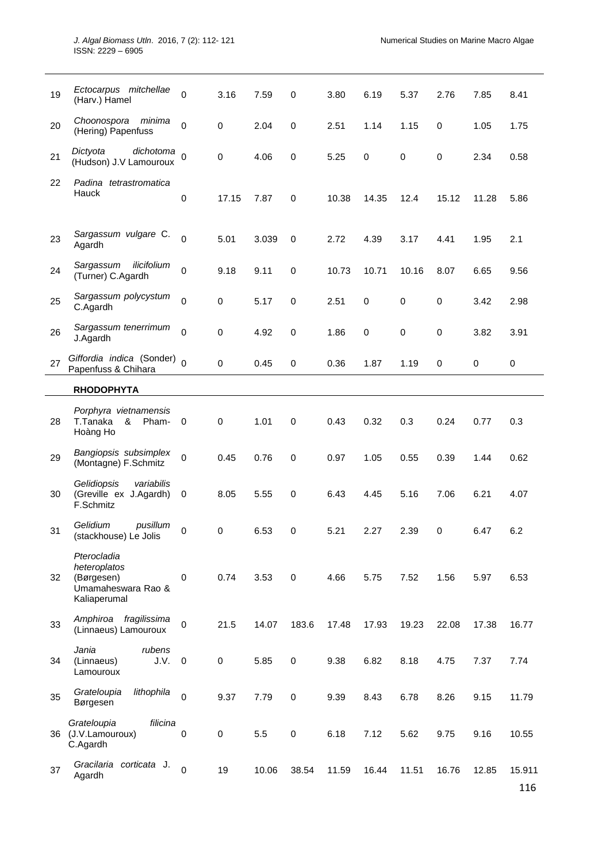| 19 | Ectocarpus mitchellae<br>(Harv.) Hamel                                          | 0                   | 3.16      | 7.59  | 0           | 3.80  | 6.19        | 5.37        | 2.76        | 7.85  | 8.41   |
|----|---------------------------------------------------------------------------------|---------------------|-----------|-------|-------------|-------|-------------|-------------|-------------|-------|--------|
| 20 | Choonospora<br>minima<br>(Hering) Papenfuss                                     | 0                   | 0         | 2.04  | 0           | 2.51  | 1.14        | 1.15        | $\mathbf 0$ | 1.05  | 1.75   |
| 21 | Dictyota<br>dichotoma<br>(Hudson) J.V Lamouroux                                 | $\Omega$            | 0         | 4.06  | 0           | 5.25  | $\mathbf 0$ | $\mathbf 0$ | $\mathbf 0$ | 2.34  | 0.58   |
| 22 | Padina tetrastromatica<br>Hauck                                                 | $\mathsf{O}\xspace$ | 17.15     | 7.87  | $\mathbf 0$ | 10.38 | 14.35       | 12.4        | 15.12       | 11.28 | 5.86   |
| 23 | Sargassum vulgare C.<br>Agardh                                                  | $\Omega$            | 5.01      | 3.039 | 0           | 2.72  | 4.39        | 3.17        | 4.41        | 1.95  | 2.1    |
| 24 | Sargassum<br>ilicifolium<br>(Turner) C.Agardh                                   | 0                   | 9.18      | 9.11  | $\pmb{0}$   | 10.73 | 10.71       | 10.16       | 8.07        | 6.65  | 9.56   |
| 25 | Sargassum polycystum<br>C.Agardh                                                | 0                   | 0         | 5.17  | 0           | 2.51  | 0           | $\pmb{0}$   | $\mathbf 0$ | 3.42  | 2.98   |
| 26 | Sargassum tenerrimum<br>J.Agardh                                                | 0                   | 0         | 4.92  | 0           | 1.86  | $\pmb{0}$   | $\pmb{0}$   | $\mathbf 0$ | 3.82  | 3.91   |
| 27 | Giffordia indica (Sonder)<br>Papenfuss & Chihara                                | $\Omega$            | $\pmb{0}$ | 0.45  | 0           | 0.36  | 1.87        | 1.19        | 0           | 0     | 0      |
|    | <b>RHODOPHYTA</b>                                                               |                     |           |       |             |       |             |             |             |       |        |
| 28 | Porphyra vietnamensis<br>T.Tanaka<br>&<br>Pham-<br>Hoàng Ho                     | $\overline{0}$      | 0         | 1.01  | 0           | 0.43  | 0.32        | 0.3         | 0.24        | 0.77  | 0.3    |
| 29 | Bangiopsis subsimplex<br>(Montagne) F.Schmitz                                   | $\mathbf 0$         | 0.45      | 0.76  | 0           | 0.97  | 1.05        | 0.55        | 0.39        | 1.44  | 0.62   |
| 30 | Gelidiopsis<br>variabilis<br>(Greville ex J.Agardh)<br>F.Schmitz                | 0                   | 8.05      | 5.55  | 0           | 6.43  | 4.45        | 5.16        | 7.06        | 6.21  | 4.07   |
| 31 | pusillum<br>Gelidium<br>(stackhouse) Le Jolis                                   | $\pmb{0}$           | $\pmb{0}$ | 6.53  | $\mathsf 0$ | 5.21  | 2.27        | 2.39        | $\pmb{0}$   | 6.47  | 6.2    |
| 32 | Pterocladia<br>heteroplatos<br>(Børgesen)<br>Umamaheswara Rao &<br>Kaliaperumal | $\mathbf 0$         | 0.74      | 3.53  | 0           | 4.66  | 5.75        | 7.52        | 1.56        | 5.97  | 6.53   |
| 33 | Amphiroa fragilissima<br>(Linnaeus) Lamouroux                                   | $\mathbf 0$         | 21.5      | 14.07 | 183.6       | 17.48 | 17.93       | 19.23       | 22.08       | 17.38 | 16.77  |
| 34 | Jania<br>rubens<br>(Linnaeus)<br>J.V.<br>Lamouroux                              | $\mathbf 0$         | $\pmb{0}$ | 5.85  | 0           | 9.38  | 6.82        | 8.18        | 4.75        | 7.37  | 7.74   |
| 35 | Grateloupia<br>lithophila<br>Børgesen                                           | $\mathbf 0$         | 9.37      | 7.79  | 0           | 9.39  | 8.43        | 6.78        | 8.26        | 9.15  | 11.79  |
|    | filicina<br>Grateloupia<br>36 (J.V.Lamouroux)<br>C.Agardh                       | $\mathbf 0$         | $\pmb{0}$ | 5.5   | $\pmb{0}$   | 6.18  | 7.12        | 5.62        | 9.75        | 9.16  | 10.55  |
| 37 | Gracilaria corticata J.<br>Agardh                                               | $\mathbf 0$         | 19        | 10.06 | 38.54       | 11.59 | 16.44       | 11.51       | 16.76       | 12.85 | 15.911 |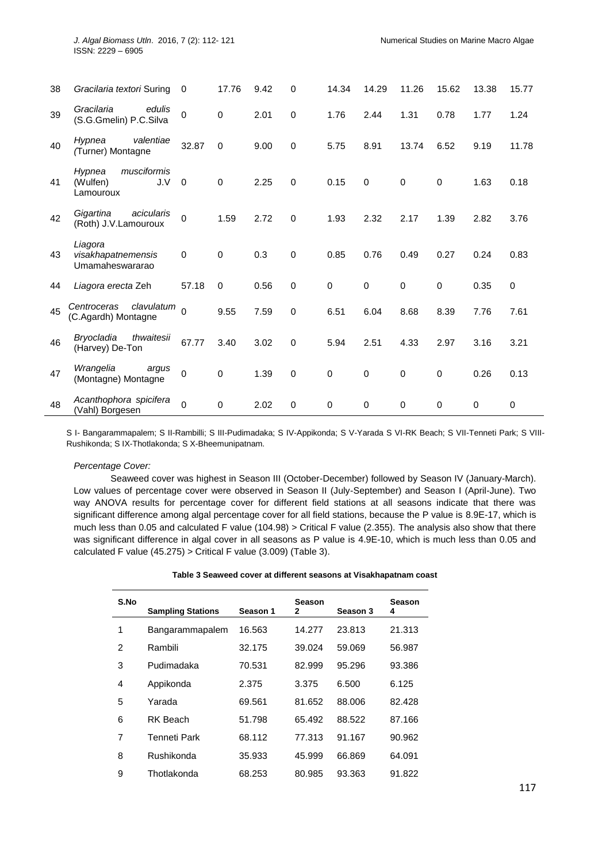| 38 | Gracilaria textori Suring                             | $\Omega$    | 17.76       | 9.42 | $\Omega$    | 14.34       | 14.29       | 11.26       | 15.62       | 13.38       | 15.77       |
|----|-------------------------------------------------------|-------------|-------------|------|-------------|-------------|-------------|-------------|-------------|-------------|-------------|
| 39 | Gracilaria<br>edulis<br>(S.G.Gmelin) P.C.Silva        | $\Omega$    | $\pmb{0}$   | 2.01 | $\Omega$    | 1.76        | 2.44        | 1.31        | 0.78        | 1.77        | 1.24        |
| 40 | valentiae<br>Hypnea<br>(Turner) Montagne              | 32.87       | $\mathbf 0$ | 9.00 | $\mathbf 0$ | 5.75        | 8.91        | 13.74       | 6.52        | 9.19        | 11.78       |
| 41 | musciformis<br>Hypnea<br>(Wulfen)<br>J.V<br>Lamouroux | $\Omega$    | $\mathbf 0$ | 2.25 | $\Omega$    | 0.15        | $\mathbf 0$ | $\mathbf 0$ | $\mathbf 0$ | 1.63        | 0.18        |
| 42 | Gigartina<br>acicularis<br>(Roth) J.V.Lamouroux       | $\mathbf 0$ | 1.59        | 2.72 | $\Omega$    | 1.93        | 2.32        | 2.17        | 1.39        | 2.82        | 3.76        |
| 43 | Liagora<br>visakhapatnemensis<br>Umamaheswararao      | $\mathbf 0$ | $\mathbf 0$ | 0.3  | $\mathbf 0$ | 0.85        | 0.76        | 0.49        | 0.27        | 0.24        | 0.83        |
| 44 | Liagora erecta Zeh                                    | 57.18       | $\mathbf 0$ | 0.56 | $\mathbf 0$ | 0           | $\pmb{0}$   | $\mathbf 0$ | $\pmb{0}$   | 0.35        | $\mathbf 0$ |
| 45 | clavulatum<br>Centroceras<br>(C.Agardh) Montagne      | $\Omega$    | 9.55        | 7.59 | 0           | 6.51        | 6.04        | 8.68        | 8.39        | 7.76        | 7.61        |
| 46 | thwaitesii<br>Bryocladia<br>(Harvey) De-Ton           | 67.77       | 3.40        | 3.02 | $\Omega$    | 5.94        | 2.51        | 4.33        | 2.97        | 3.16        | 3.21        |
| 47 | Wrangelia<br>argus<br>(Montagne) Montagne             | $\mathbf 0$ | 0           | 1.39 | $\mathbf 0$ | $\mathbf 0$ | $\mathbf 0$ | $\mathbf 0$ | 0           | 0.26        | 0.13        |
| 48 | Acanthophora spicifera<br>(Vahl) Borgesen             | $\Omega$    | $\mathbf 0$ | 2.02 | $\Omega$    | 0           | $\mathbf 0$ | $\mathbf 0$ | $\mathbf 0$ | $\mathbf 0$ | $\mathbf 0$ |

S I- Bangarammapalem; S II-Rambilli; S III-Pudimadaka; S IV-Appikonda; S V-Yarada S VI-RK Beach; S VII-Tenneti Park; S VIII-Rushikonda; S IX-Thotlakonda; S X-Bheemunipatnam.

#### *Percentage Cover:*

Seaweed cover was highest in Season III (October-December) followed by Season IV (January-March). Low values of percentage cover were observed in Season II (July-September) and Season I (April-June). Two way ANOVA results for percentage cover for different field stations at all seasons indicate that there was significant difference among algal percentage cover for all field stations, because the P value is 8.9E-17, which is much less than 0.05 and calculated F value (104.98) > Critical F value (2.355). The analysis also show that there was significant difference in algal cover in all seasons as P value is 4.9E-10, which is much less than 0.05 and calculated F value (45.275) > Critical F value (3.009) (Table 3).

| Table 3 Seaweed cover at different seasons at Visakhapatnam coast |
|-------------------------------------------------------------------|
|-------------------------------------------------------------------|

| S.No | <b>Sampling Stations</b> | Season 1 | Season<br>2 | Season 3 | <b>Season</b><br>4 |
|------|--------------------------|----------|-------------|----------|--------------------|
| 1    | Bangarammapalem          | 16.563   | 14.277      | 23.813   | 21.313             |
| 2    | Rambili                  | 32.175   | 39.024      | 59.069   | 56.987             |
| 3    | Pudimadaka               | 70.531   | 82.999      | 95.296   | 93.386             |
| 4    | Appikonda                | 2.375    | 3.375       | 6.500    | 6.125              |
| 5    | Yarada                   | 69.561   | 81.652      | 88.006   | 82.428             |
| 6    | <b>RK Beach</b>          | 51.798   | 65.492      | 88.522   | 87.166             |
| 7    | Tenneti Park             | 68.112   | 77.313      | 91.167   | 90.962             |
| 8    | Rushikonda               | 35.933   | 45.999      | 66.869   | 64.091             |
| 9    | Thotlakonda              | 68.253   | 80.985      | 93.363   | 91.822             |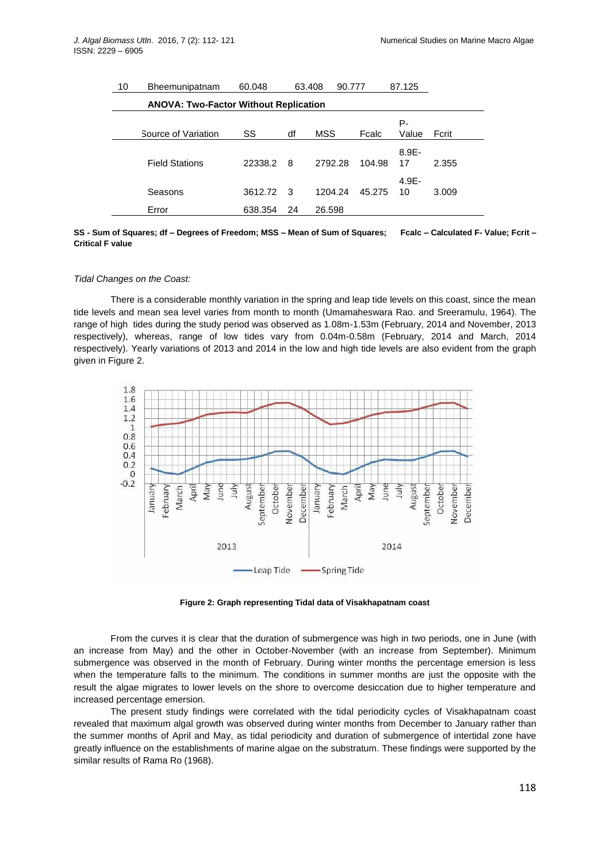| 10 | Bheemunipatnam                               | 60.048  |     | 63.408<br>90.777 |        | 87.125         |       |  |  |  |  |  |
|----|----------------------------------------------|---------|-----|------------------|--------|----------------|-------|--|--|--|--|--|
|    | <b>ANOVA: Two-Factor Without Replication</b> |         |     |                  |        |                |       |  |  |  |  |  |
|    |                                              |         |     |                  |        | Р-             |       |  |  |  |  |  |
|    | Source of Variation                          | SS      | df  | <b>MSS</b>       | Fcalc  | Value          | Fcrit |  |  |  |  |  |
|    | <b>Field Stations</b>                        | 22338.2 | -8  | 2792.28          | 104.98 | $8.9E -$<br>17 | 2.355 |  |  |  |  |  |
|    | Seasons                                      | 3612.72 | - 3 | 1204.24          | 45.275 | $4.9E -$<br>10 | 3.009 |  |  |  |  |  |
|    | Error                                        | 638.354 | 24  | 26.598           |        |                |       |  |  |  |  |  |

**SS - Sum of Squares; df – Degrees of Freedom; MSS – Mean of Sum of Squares; Fcalc – Calculated F- Value; Fcrit – Critical F value**

#### *Tidal Changes on the Coast:*

There is a considerable monthly variation in the spring and leap tide levels on this coast, since the mean tide levels and mean sea level varies from month to month (Umamaheswara Rao. and Sreeramulu, 1964). The range of high tides during the study period was observed as 1.08m-1.53m (February, 2014 and November, 2013 respectively), whereas, range of low tides vary from 0.04m-0.58m (February, 2014 and March, 2014 respectively). Yearly variations of 2013 and 2014 in the low and high tide levels are also evident from the graph given in Figure 2.



**Figure 2: Graph representing Tidal data of Visakhapatnam coast**

From the curves it is clear that the duration of submergence was high in two periods, one in June (with an increase from May) and the other in October-November (with an increase from September). Minimum submergence was observed in the month of February. During winter months the percentage emersion is less when the temperature falls to the minimum. The conditions in summer months are just the opposite with the result the algae migrates to lower levels on the shore to overcome desiccation due to higher temperature and increased percentage emersion.

The present study findings were correlated with the tidal periodicity cycles of Visakhapatnam coast revealed that maximum algal growth was observed during winter months from December to January rather than the summer months of April and May, as tidal periodicity and duration of submergence of intertidal zone have greatly influence on the establishments of marine algae on the substratum. These findings were supported by the similar results of Rama Ro (1968).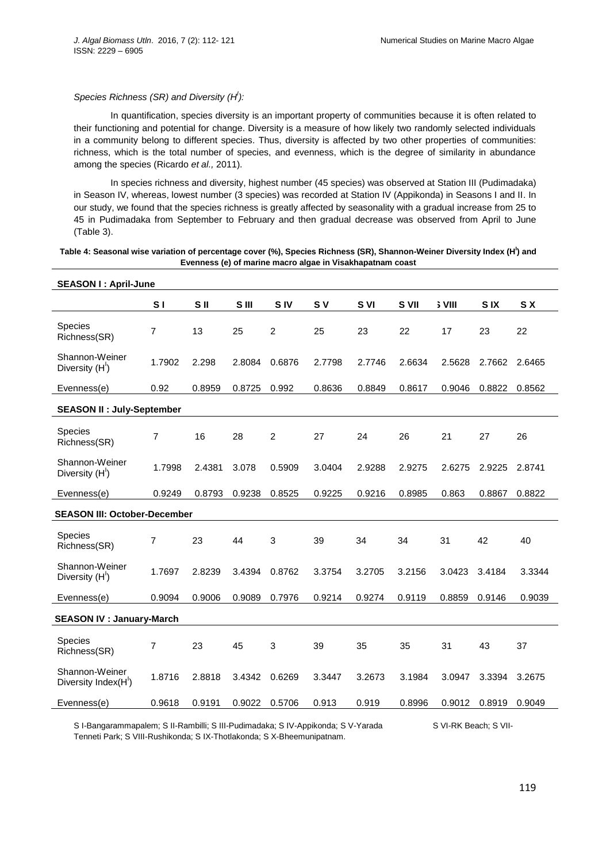# *Species Richness (SR) and Diversity (H<sup>I</sup> ):*

In quantification, species diversity is an important property of communities because it is often related to their functioning and potential for change. Diversity is a measure of how likely two randomly selected individuals in a community belong to different species. Thus, diversity is affected by two other properties of communities: richness, which is the total number of species, and evenness, which is the degree of similarity in abundance among the species (Ricardo *et al.,* 2011).

In species richness and diversity, highest number (45 species) was observed at Station III (Pudimadaka) in Season IV, whereas, lowest number (3 species) was recorded at Station IV (Appikonda) in Seasons I and II. In our study, we found that the species richness is greatly affected by seasonality with a gradual increase from 25 to 45 in Pudimadaka from September to February and then gradual decrease was observed from April to June (Table 3).

## **Table 4: Seasonal wise variation of percentage cover (%), Species Richness (SR), Shannon-Weiner Diversity Index (H<sup>I</sup> ) and Evenness (e) of marine macro algae in Visakhapatnam coast**

| <b>SEASON I: April-June</b>                   |                |                 |        |                 |           |        |        |               |            |        |
|-----------------------------------------------|----------------|-----------------|--------|-----------------|-----------|--------|--------|---------------|------------|--------|
|                                               | S <sub>1</sub> | S <sub>II</sub> | S III  | S <sub>IV</sub> | <b>SV</b> | S VI   | S VII  | <b>S</b> VIII | <b>SIX</b> | S X    |
| <b>Species</b><br>Richness(SR)                | 7              | 13              | 25     | $\overline{2}$  | 25        | 23     | 22     | 17            | 23         | 22     |
| Shannon-Weiner<br>Diversity (H <sup>1</sup> ) | 1.7902         | 2.298           | 2.8084 | 0.6876          | 2.7798    | 2.7746 | 2.6634 | 2.5628        | 2.7662     | 2.6465 |
| Evenness(e)                                   | 0.92           | 0.8959          | 0.8725 | 0.992           | 0.8636    | 0.8849 | 0.8617 | 0.9046        | 0.8822     | 0.8562 |
| <b>SEASON II : July-September</b>             |                |                 |        |                 |           |        |        |               |            |        |
| Species<br>Richness(SR)                       | $\overline{7}$ | 16              | 28     | $\overline{2}$  | 27        | 24     | 26     | 21            | 27         | 26     |
| Shannon-Weiner<br>Diversity (H <sup>1</sup> ) | 1.7998         | 2.4381          | 3.078  | 0.5909          | 3.0404    | 2.9288 | 2.9275 | 2.6275        | 2.9225     | 2.8741 |
| Evenness(e)                                   | 0.9249         | 0.8793          | 0.9238 | 0.8525          | 0.9225    | 0.9216 | 0.8985 | 0.863         | 0.8867     | 0.8822 |
| <b>SEASON III: October-December</b>           |                |                 |        |                 |           |        |        |               |            |        |
| Species<br>Richness(SR)                       | $\overline{7}$ | 23              | 44     | 3               | 39        | 34     | 34     | 31            | 42         | 40     |
| Shannon-Weiner<br>Diversity (H')              | 1.7697         | 2.8239          | 3.4394 | 0.8762          | 3.3754    | 3.2705 | 3.2156 | 3.0423        | 3.4184     | 3.3344 |
| Evenness(e)                                   | 0.9094         | 0.9006          | 0.9089 | 0.7976          | 0.9214    | 0.9274 | 0.9119 | 0.8859        | 0.9146     | 0.9039 |
| <b>SEASON IV : January-March</b>              |                |                 |        |                 |           |        |        |               |            |        |
| <b>Species</b><br>Richness(SR)                | 7              | 23              | 45     | 3               | 39        | 35     | 35     | 31            | 43         | 37     |
| Shannon-Weiner<br>Diversity Index(H')         | 1.8716         | 2.8818          | 3.4342 | 0.6269          | 3.3447    | 3.2673 | 3.1984 | 3.0947        | 3.3394     | 3.2675 |
| Evenness(e)                                   | 0.9618         | 0.9191          | 0.9022 | 0.5706          | 0.913     | 0.919  | 0.8996 | 0.9012        | 0.8919     | 0.9049 |

S I-Bangarammapalem; S II-Rambilli; S III-Pudimadaka; S IV-Appikonda; S V-Yarada S VI-RK Beach; S VII-Tenneti Park; S VIII-Rushikonda; S IX-Thotlakonda; S X-Bheemunipatnam.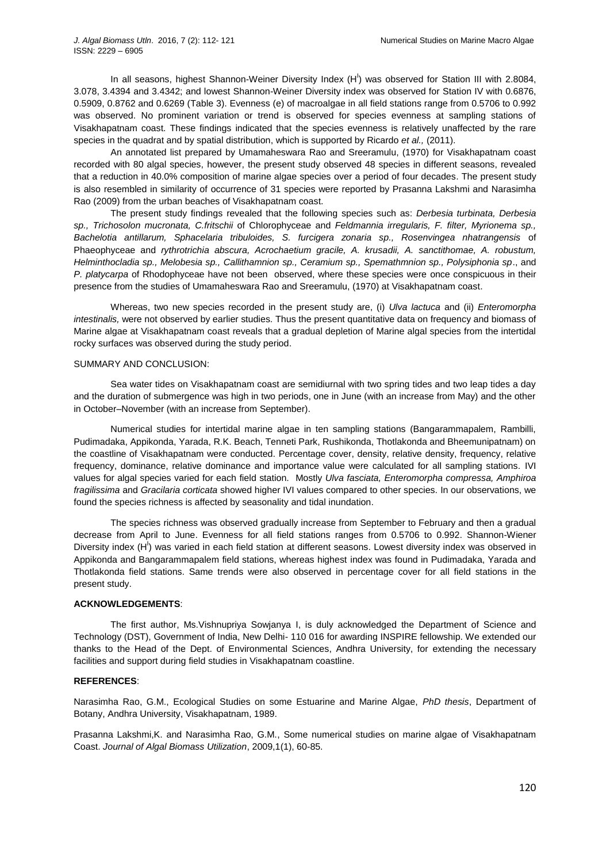In all seasons, highest Shannon-Weiner Diversity Index  $(H')$  was observed for Station III with 2.8084, 3.078, 3.4394 and 3.4342; and lowest Shannon-Weiner Diversity index was observed for Station IV with 0.6876, 0.5909, 0.8762 and 0.6269 (Table 3). Evenness (e) of macroalgae in all field stations range from 0.5706 to 0.992 was observed. No prominent variation or trend is observed for species evenness at sampling stations of Visakhapatnam coast. These findings indicated that the species evenness is relatively unaffected by the rare species in the quadrat and by spatial distribution, which is supported by Ricardo *et al.,* (2011).

An annotated list prepared by Umamaheswara Rao and Sreeramulu, (1970) for Visakhapatnam coast recorded with 80 algal species, however, the present study observed 48 species in different seasons, revealed that a reduction in 40.0% composition of marine algae species over a period of four decades. The present study is also resembled in similarity of occurrence of 31 species were reported by Prasanna Lakshmi and Narasimha Rao (2009) from the urban beaches of Visakhapatnam coast.

The present study findings revealed that the following species such as: *Derbesia turbinata, Derbesia sp., Trichosolon mucronata, C.fritschii* of Chlorophyceae and *Feldmannia irregularis, F. filter, Myrionema sp., Bachelotia antillarum, Sphacelaria tribuloides, S. furcigera zonaria sp., Rosenvingea nhatrangensis* of Phaeophyceae and *rythrotrichia abscura, Acrochaetium gracile, A. krusadii, A. sanctithomae, A. robustum, Helminthocladia sp., Melobesia sp., Callithamnion sp., Ceramium sp., Spemathmnion sp., Polysiphonia sp*., and *P. platycarpa* of Rhodophyceae have not been observed, where these species were once conspicuous in their presence from the studies of Umamaheswara Rao and Sreeramulu, (1970) at Visakhapatnam coast.

Whereas, two new species recorded in the present study are, (i) *Ulva lactuca* and (ii) *Enteromorpha intestinalis,* were not observed by earlier studies. Thus the present quantitative data on frequency and biomass of Marine algae at Visakhapatnam coast reveals that a gradual depletion of Marine algal species from the intertidal rocky surfaces was observed during the study period.

#### SUMMARY AND CONCLUSION:

Sea water tides on Visakhapatnam coast are semidiurnal with two spring tides and two leap tides a day and the duration of submergence was high in two periods, one in June (with an increase from May) and the other in October–November (with an increase from September).

Numerical studies for intertidal marine algae in ten sampling stations (Bangarammapalem, Rambilli, Pudimadaka, Appikonda, Yarada, R.K. Beach, Tenneti Park, Rushikonda, Thotlakonda and Bheemunipatnam) on the coastline of Visakhapatnam were conducted. Percentage cover, density, relative density, frequency, relative frequency, dominance, relative dominance and importance value were calculated for all sampling stations. IVI values for algal species varied for each field station. Mostly *Ulva fasciata, Enteromorpha compressa, Amphiroa fragilissima* and *Gracilaria corticata* showed higher IVI values compared to other species. In our observations, we found the species richness is affected by seasonality and tidal inundation.

The species richness was observed gradually increase from September to February and then a gradual decrease from April to June. Evenness for all field stations ranges from 0.5706 to 0.992. Shannon-Wiener Diversity index  $(H<sup>1</sup>)$  was varied in each field station at different seasons. Lowest diversity index was observed in Appikonda and Bangarammapalem field stations, whereas highest index was found in Pudimadaka, Yarada and Thotlakonda field stations. Same trends were also observed in percentage cover for all field stations in the present study.

#### **ACKNOWLEDGEMENTS**:

The first author, Ms.Vishnupriya Sowjanya I, is duly acknowledged the Department of Science and Technology (DST), Government of India, New Delhi- 110 016 for awarding INSPIRE fellowship. We extended our thanks to the Head of the Dept. of Environmental Sciences, Andhra University, for extending the necessary facilities and support during field studies in Visakhapatnam coastline.

#### **REFERENCES**:

Narasimha Rao, G.M., Ecological Studies on some Estuarine and Marine Algae, *PhD thesis*, Department of Botany, Andhra University, Visakhapatnam, 1989.

Prasanna Lakshmi,K. and Narasimha Rao, G.M., Some numerical studies on marine algae of Visakhapatnam Coast. *Journal of Algal Biomass Utilization*, 2009,1(1), 60-85.